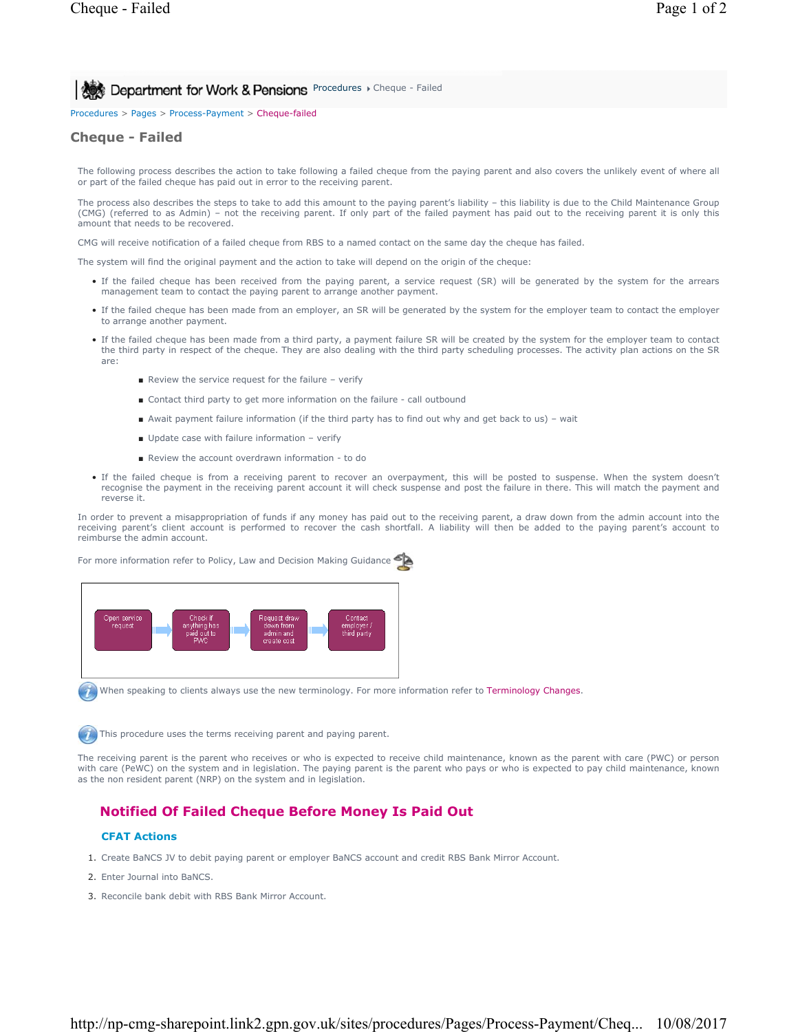**Procedures > Cheque - Failed Department for Work & Pensions** Procedures > Cheque - Failed

Procedures > Pages > Process-Payment > Cheque-failed

# **Cheque - Failed**

The following process describes the action to take following a failed cheque from the paying parent and also covers the unlikely event of where all or part of the failed cheque has paid out in error to the receiving parent.

The process also describes the steps to take to add this amount to the paying parent's liability - this liability is due to the Child Maintenance Group (CMG) (referred to as Admin) – not the receiving parent. If only part of the failed payment has paid out to the receiving parent it is only this amount that needs to be recovered.

CMG will receive notification of a failed cheque from RBS to a named contact on the same day the cheque has failed.

The system will find the original payment and the action to take will depend on the origin of the cheque:

- If the failed cheque has been received from the paying parent, a service request (SR) will be generated by the system for the arrears management team to contact the paying parent to arrange another payment.
- If the failed cheque has been made from an employer, an SR will be generated by the system for the employer team to contact the employer to arrange another payment.
- If the failed cheque has been made from a third party, a payment failure SR will be created by the system for the employer team to contact the third party in respect of the cheque. They are also dealing with the third party scheduling processes. The activity plan actions on the SR are:
	- Review the service request for the failure verify
	- Contact third party to get more information on the failure call outbound
	- Await payment failure information (if the third party has to find out why and get back to us) wait
	- Update case with failure information verify
	- Review the account overdrawn information to do
- If the failed cheque is from a receiving parent to recover an overpayment, this will be posted to suspense. When the system doesn't recognise the payment in the receiving parent account it will check suspense and post the failure in there. This will match the payment and reverse it.

In order to prevent a misappropriation of funds if any money has paid out to the receiving parent, a draw down from the admin account into the receiving parent's client account is performed to recover the cash shortfall. A liability will then be added to the paying parent's account to reimburse the admin account.



When speaking to clients always use the new terminology. For more information refer to Terminology Changes.

This procedure uses the terms receiving parent and paying parent.

The receiving parent is the parent who receives or who is expected to receive child maintenance, known as the parent with care (PWC) or person with care (PeWC) on the system and in legislation. The paying parent is the parent who pays or who is expected to pay child maintenance, known as the non resident parent (NRP) on the system and in legislation.

## **Notified Of Failed Cheque Before Money Is Paid Out**

### **CFAT Actions**

- 1. Create BaNCS JV to debit paying parent or employer BaNCS account and credit RBS Bank Mirror Account.
- 2. Enter Journal into BaNCS.
- 3. Reconcile bank debit with RBS Bank Mirror Account.